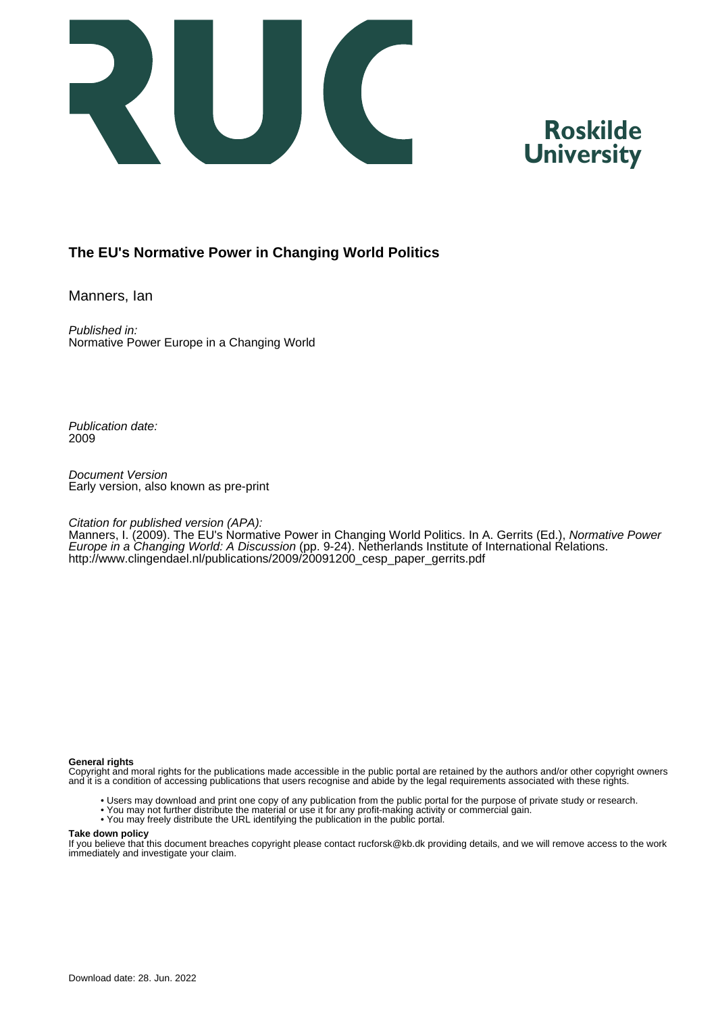

# **Roskilde University**

# **The EU's Normative Power in Changing World Politics**

Manners, Ian

Published in: Normative Power Europe in a Changing World

Publication date: 2009

Document Version Early version, also known as pre-print

#### Citation for published version (APA):

Manners, I. (2009). The EU's Normative Power in Changing World Politics. In A. Gerrits (Ed.), Normative Power Europe in a Changing World: A Discussion (pp. 9-24). Netherlands Institute of International Relations. [http://www.clingendael.nl/publications/2009/20091200\\_cesp\\_paper\\_gerrits.pdf](http://www.clingendael.nl/publications/2009/20091200_cesp_paper_gerrits.pdf)

#### **General rights**

Copyright and moral rights for the publications made accessible in the public portal are retained by the authors and/or other copyright owners and it is a condition of accessing publications that users recognise and abide by the legal requirements associated with these rights.

- Users may download and print one copy of any publication from the public portal for the purpose of private study or research.
- You may not further distribute the material or use it for any profit-making activity or commercial gain.
- You may freely distribute the URL identifying the publication in the public portal.

#### **Take down policy**

If you believe that this document breaches copyright please contact rucforsk@kb.dk providing details, and we will remove access to the work immediately and investigate your claim.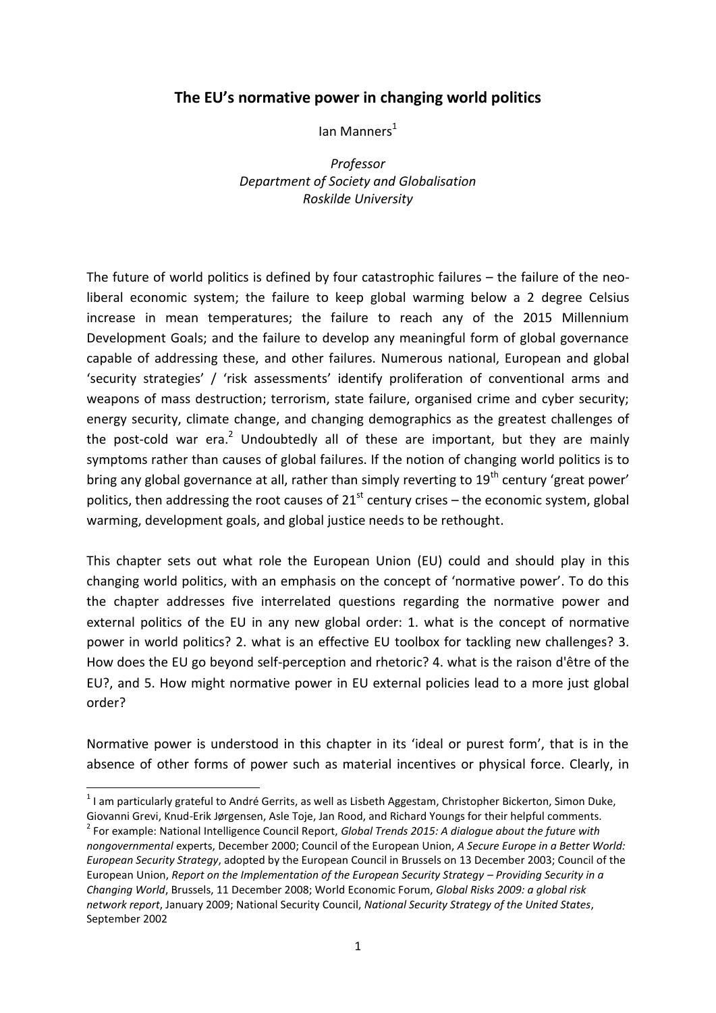# **The EU's normative power in changing world politics**

Ian Manners $<sup>1</sup>$ </sup>

*Professor Department of Society and Globalisation Roskilde University*

The future of world politics is defined by four catastrophic failures – the failure of the neoliberal economic system; the failure to keep global warming below a 2 degree Celsius increase in mean temperatures; the failure to reach any of the 2015 Millennium Development Goals; and the failure to develop any meaningful form of global governance capable of addressing these, and other failures. Numerous national, European and global 'security strategies' / 'risk assessments' identify proliferation of conventional arms and weapons of mass destruction; terrorism, state failure, organised crime and cyber security; energy security, climate change, and changing demographics as the greatest challenges of the post-cold war era.<sup>2</sup> Undoubtedly all of these are important, but they are mainly symptoms rather than causes of global failures. If the notion of changing world politics is to bring any global governance at all, rather than simply reverting to  $19<sup>th</sup>$  century 'great power' politics, then addressing the root causes of  $21^{st}$  century crises – the economic system, global warming, development goals, and global justice needs to be rethought.

This chapter sets out what role the European Union (EU) could and should play in this changing world politics, with an emphasis on the concept of 'normative power'. To do this the chapter addresses five interrelated questions regarding the normative power and external politics of the EU in any new global order: 1. what is the concept of normative power in world politics? 2. what is an effective EU toolbox for tackling new challenges? 3. How does the EU go beyond self-perception and rhetoric? 4. what is the raison d'être of the EU?, and 5. How might normative power in EU external policies lead to a more just global order?

Normative power is understood in this chapter in its 'ideal or purest form', that is in the absence of other forms of power such as material incentives or physical force. Clearly, in

 1 I am particularly grateful to André Gerrits, as well as Lisbeth Aggestam, Christopher Bickerton, Simon Duke, Giovanni Grevi, Knud-Erik Jørgensen, Asle Toje, Jan Rood, and Richard Youngs for their helpful comments.

<sup>2</sup> For example: National Intelligence Council Report, *Global Trends 2015: A dialogue about the future with nongovernmental* experts, December 2000; Council of the European Union, *A Secure Europe in a Better World: European Security Strategy*, adopted by the European Council in Brussels on 13 December 2003; Council of the European Union, *Report on the Implementation of the European Security Strategy – Providing Security in a Changing World*, Brussels, 11 December 2008; World Economic Forum, *Global Risks 2009: a global risk network report*, January 2009; National Security Council, *National Security Strategy of the United States*, September 2002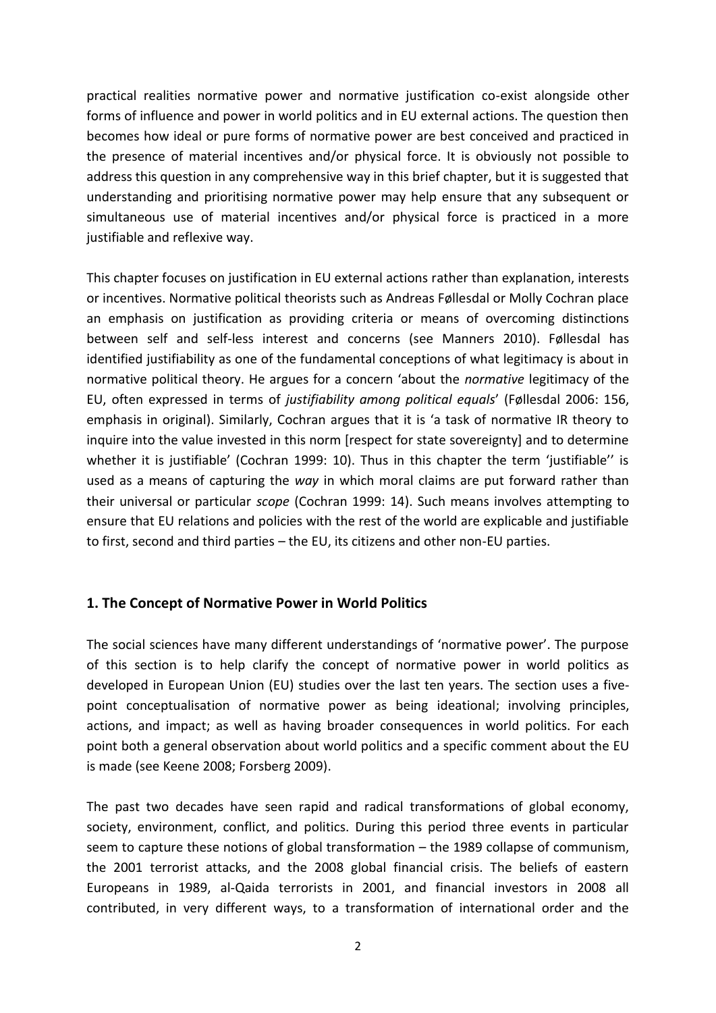practical realities normative power and normative justification co-exist alongside other forms of influence and power in world politics and in EU external actions. The question then becomes how ideal or pure forms of normative power are best conceived and practiced in the presence of material incentives and/or physical force. It is obviously not possible to address this question in any comprehensive way in this brief chapter, but it is suggested that understanding and prioritising normative power may help ensure that any subsequent or simultaneous use of material incentives and/or physical force is practiced in a more justifiable and reflexive way.

This chapter focuses on justification in EU external actions rather than explanation, interests or incentives. Normative political theorists such as Andreas Føllesdal or Molly Cochran place an emphasis on justification as providing criteria or means of overcoming distinctions between self and self-less interest and concerns (see Manners 2010). Føllesdal has identified justifiability as one of the fundamental conceptions of what legitimacy is about in normative political theory. He argues for a concern 'about the *normative* legitimacy of the EU, often expressed in terms of *justifiability among political equals*' (Føllesdal 2006: 156, emphasis in original). Similarly, Cochran argues that it is 'a task of normative IR theory to inquire into the value invested in this norm [respect for state sovereignty] and to determine whether it is justifiable' (Cochran 1999: 10). Thus in this chapter the term 'justifiable'' is used as a means of capturing the *way* in which moral claims are put forward rather than their universal or particular *scope* (Cochran 1999: 14). Such means involves attempting to ensure that EU relations and policies with the rest of the world are explicable and justifiable to first, second and third parties – the EU, its citizens and other non-EU parties.

# **1. The Concept of Normative Power in World Politics**

The social sciences have many different understandings of 'normative power'. The purpose of this section is to help clarify the concept of normative power in world politics as developed in European Union (EU) studies over the last ten years. The section uses a fivepoint conceptualisation of normative power as being ideational; involving principles, actions, and impact; as well as having broader consequences in world politics. For each point both a general observation about world politics and a specific comment about the EU is made (see Keene 2008; Forsberg 2009).

The past two decades have seen rapid and radical transformations of global economy, society, environment, conflict, and politics. During this period three events in particular seem to capture these notions of global transformation – the 1989 collapse of communism, the 2001 terrorist attacks, and the 2008 global financial crisis. The beliefs of eastern Europeans in 1989, al-Qaida terrorists in 2001, and financial investors in 2008 all contributed, in very different ways, to a transformation of international order and the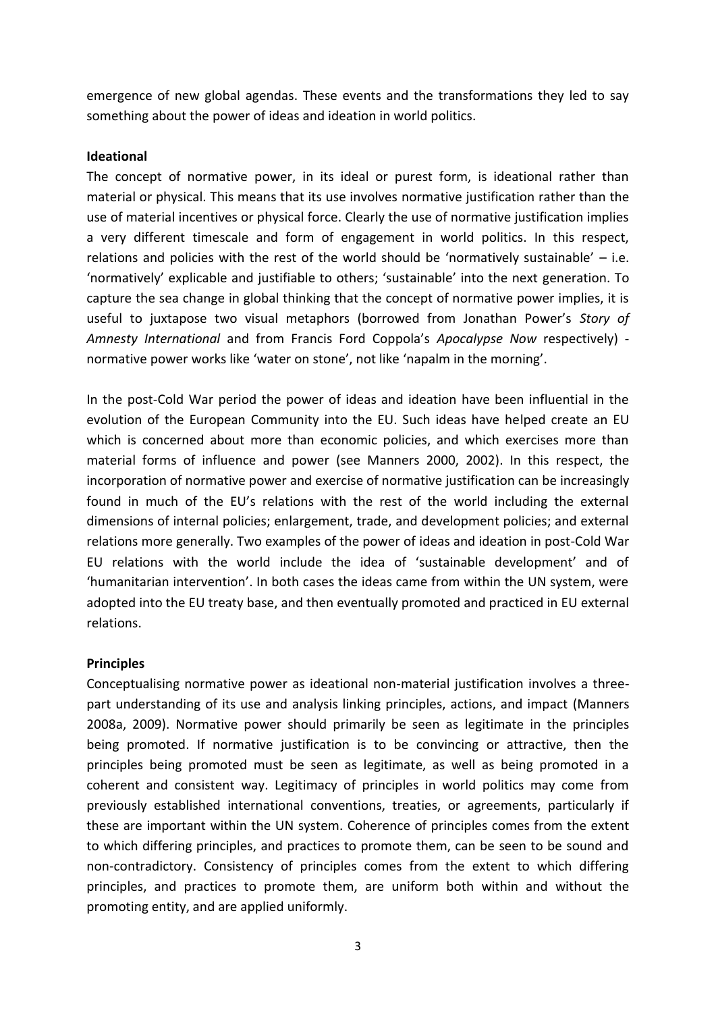emergence of new global agendas. These events and the transformations they led to say something about the power of ideas and ideation in world politics.

## **Ideational**

The concept of normative power, in its ideal or purest form, is ideational rather than material or physical. This means that its use involves normative justification rather than the use of material incentives or physical force. Clearly the use of normative justification implies a very different timescale and form of engagement in world politics. In this respect, relations and policies with the rest of the world should be 'normatively sustainable' – i.e. 'normatively' explicable and justifiable to others; 'sustainable' into the next generation. To capture the sea change in global thinking that the concept of normative power implies, it is useful to juxtapose two visual metaphors (borrowed from Jonathan Power's *Story of Amnesty International* and from Francis Ford Coppola's *Apocalypse Now* respectively) normative power works like 'water on stone', not like 'napalm in the morning'.

In the post-Cold War period the power of ideas and ideation have been influential in the evolution of the European Community into the EU. Such ideas have helped create an EU which is concerned about more than economic policies, and which exercises more than material forms of influence and power (see Manners 2000, 2002). In this respect, the incorporation of normative power and exercise of normative justification can be increasingly found in much of the EU's relations with the rest of the world including the external dimensions of internal policies; enlargement, trade, and development policies; and external relations more generally. Two examples of the power of ideas and ideation in post-Cold War EU relations with the world include the idea of 'sustainable development' and of 'humanitarian intervention'. In both cases the ideas came from within the UN system, were adopted into the EU treaty base, and then eventually promoted and practiced in EU external relations.

## **Principles**

Conceptualising normative power as ideational non-material justification involves a threepart understanding of its use and analysis linking principles, actions, and impact (Manners 2008a, 2009). Normative power should primarily be seen as legitimate in the principles being promoted. If normative justification is to be convincing or attractive, then the principles being promoted must be seen as legitimate, as well as being promoted in a coherent and consistent way. Legitimacy of principles in world politics may come from previously established international conventions, treaties, or agreements, particularly if these are important within the UN system. Coherence of principles comes from the extent to which differing principles, and practices to promote them, can be seen to be sound and non-contradictory. Consistency of principles comes from the extent to which differing principles, and practices to promote them, are uniform both within and without the promoting entity, and are applied uniformly.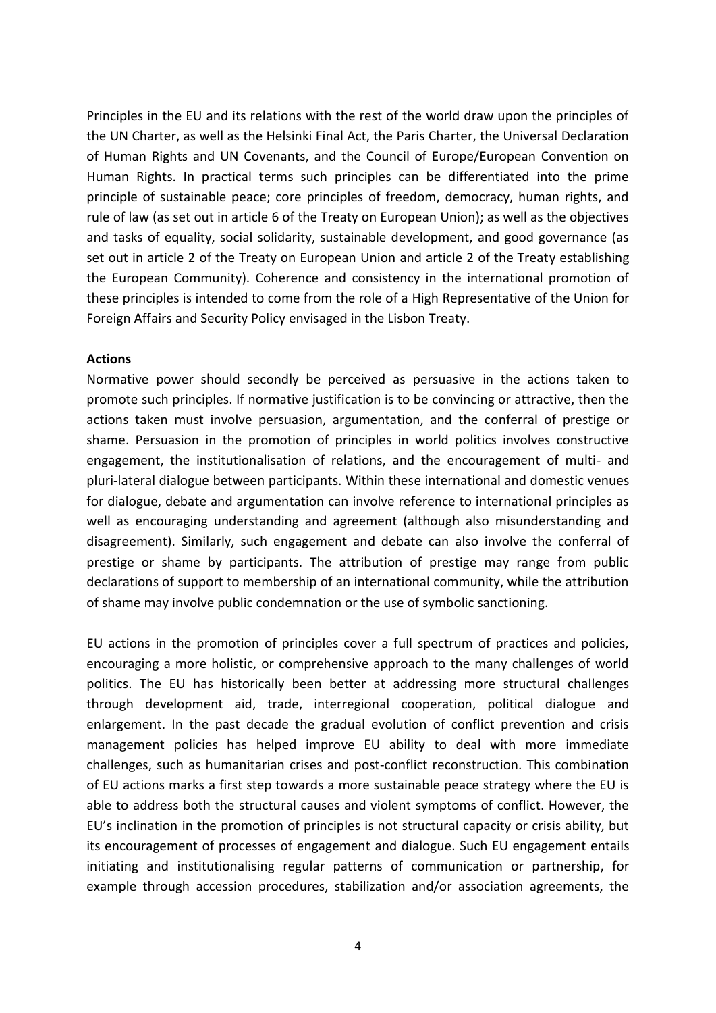Principles in the EU and its relations with the rest of the world draw upon the principles of the UN Charter, as well as the Helsinki Final Act, the Paris Charter, the Universal Declaration of Human Rights and UN Covenants, and the Council of Europe/European Convention on Human Rights. In practical terms such principles can be differentiated into the prime principle of sustainable peace; core principles of freedom, democracy, human rights, and rule of law (as set out in article 6 of the Treaty on European Union); as well as the objectives and tasks of equality, social solidarity, sustainable development, and good governance (as set out in article 2 of the Treaty on European Union and article 2 of the Treaty establishing the European Community). Coherence and consistency in the international promotion of these principles is intended to come from the role of a High Representative of the Union for Foreign Affairs and Security Policy envisaged in the Lisbon Treaty.

#### **Actions**

Normative power should secondly be perceived as persuasive in the actions taken to promote such principles. If normative justification is to be convincing or attractive, then the actions taken must involve persuasion, argumentation, and the conferral of prestige or shame. Persuasion in the promotion of principles in world politics involves constructive engagement, the institutionalisation of relations, and the encouragement of multi- and pluri-lateral dialogue between participants. Within these international and domestic venues for dialogue, debate and argumentation can involve reference to international principles as well as encouraging understanding and agreement (although also misunderstanding and disagreement). Similarly, such engagement and debate can also involve the conferral of prestige or shame by participants. The attribution of prestige may range from public declarations of support to membership of an international community, while the attribution of shame may involve public condemnation or the use of symbolic sanctioning.

EU actions in the promotion of principles cover a full spectrum of practices and policies, encouraging a more holistic, or comprehensive approach to the many challenges of world politics. The EU has historically been better at addressing more structural challenges through development aid, trade, interregional cooperation, political dialogue and enlargement. In the past decade the gradual evolution of conflict prevention and crisis management policies has helped improve EU ability to deal with more immediate challenges, such as humanitarian crises and post-conflict reconstruction. This combination of EU actions marks a first step towards a more sustainable peace strategy where the EU is able to address both the structural causes and violent symptoms of conflict. However, the EU's inclination in the promotion of principles is not structural capacity or crisis ability, but its encouragement of processes of engagement and dialogue. Such EU engagement entails initiating and institutionalising regular patterns of communication or partnership, for example through accession procedures, stabilization and/or association agreements, the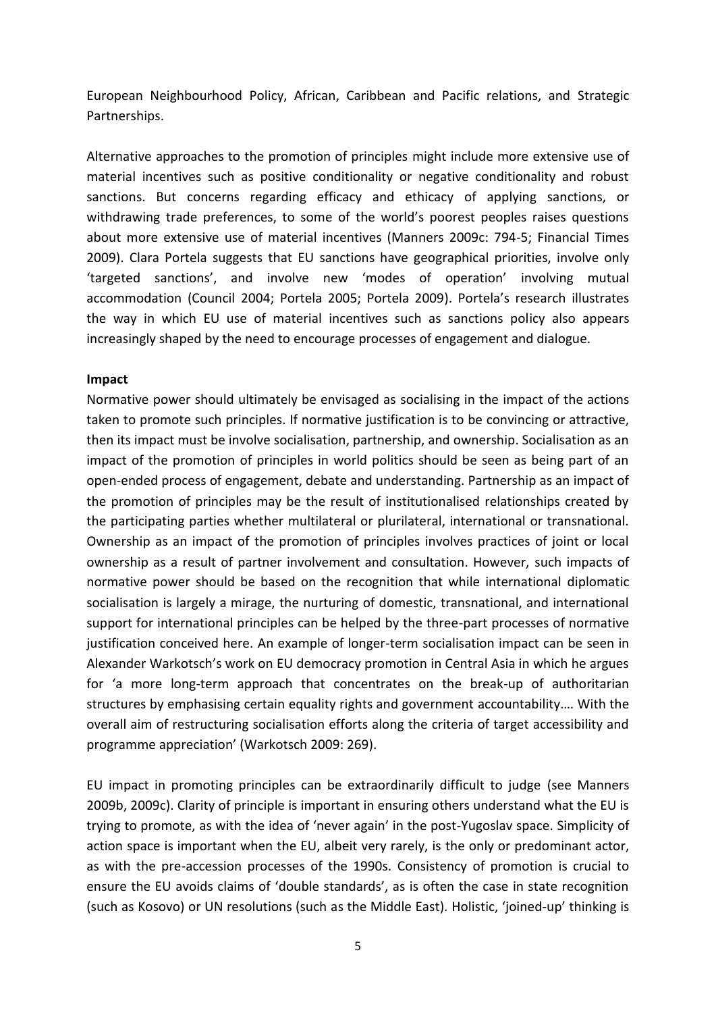European Neighbourhood Policy, African, Caribbean and Pacific relations, and Strategic Partnerships.

Alternative approaches to the promotion of principles might include more extensive use of material incentives such as positive conditionality or negative conditionality and robust sanctions. But concerns regarding efficacy and ethicacy of applying sanctions, or withdrawing trade preferences, to some of the world's poorest peoples raises questions about more extensive use of material incentives (Manners 2009c: 794-5; Financial Times 2009). Clara Portela suggests that EU sanctions have geographical priorities, involve only 'targeted sanctions', and involve new 'modes of operation' involving mutual accommodation (Council 2004; Portela 2005; Portela 2009). Portela's research illustrates the way in which EU use of material incentives such as sanctions policy also appears increasingly shaped by the need to encourage processes of engagement and dialogue.

#### **Impact**

Normative power should ultimately be envisaged as socialising in the impact of the actions taken to promote such principles. If normative justification is to be convincing or attractive, then its impact must be involve socialisation, partnership, and ownership. Socialisation as an impact of the promotion of principles in world politics should be seen as being part of an open-ended process of engagement, debate and understanding. Partnership as an impact of the promotion of principles may be the result of institutionalised relationships created by the participating parties whether multilateral or plurilateral, international or transnational. Ownership as an impact of the promotion of principles involves practices of joint or local ownership as a result of partner involvement and consultation. However, such impacts of normative power should be based on the recognition that while international diplomatic socialisation is largely a mirage, the nurturing of domestic, transnational, and international support for international principles can be helped by the three-part processes of normative justification conceived here. An example of longer-term socialisation impact can be seen in Alexander Warkotsch's work on EU democracy promotion in Central Asia in which he argues for 'a more long-term approach that concentrates on the break-up of authoritarian structures by emphasising certain equality rights and government accountability…. With the overall aim of restructuring socialisation efforts along the criteria of target accessibility and programme appreciation' (Warkotsch 2009: 269).

EU impact in promoting principles can be extraordinarily difficult to judge (see Manners 2009b, 2009c). Clarity of principle is important in ensuring others understand what the EU is trying to promote, as with the idea of 'never again' in the post-Yugoslav space. Simplicity of action space is important when the EU, albeit very rarely, is the only or predominant actor, as with the pre-accession processes of the 1990s. Consistency of promotion is crucial to ensure the EU avoids claims of 'double standards', as is often the case in state recognition (such as Kosovo) or UN resolutions (such as the Middle East). Holistic, 'joined-up' thinking is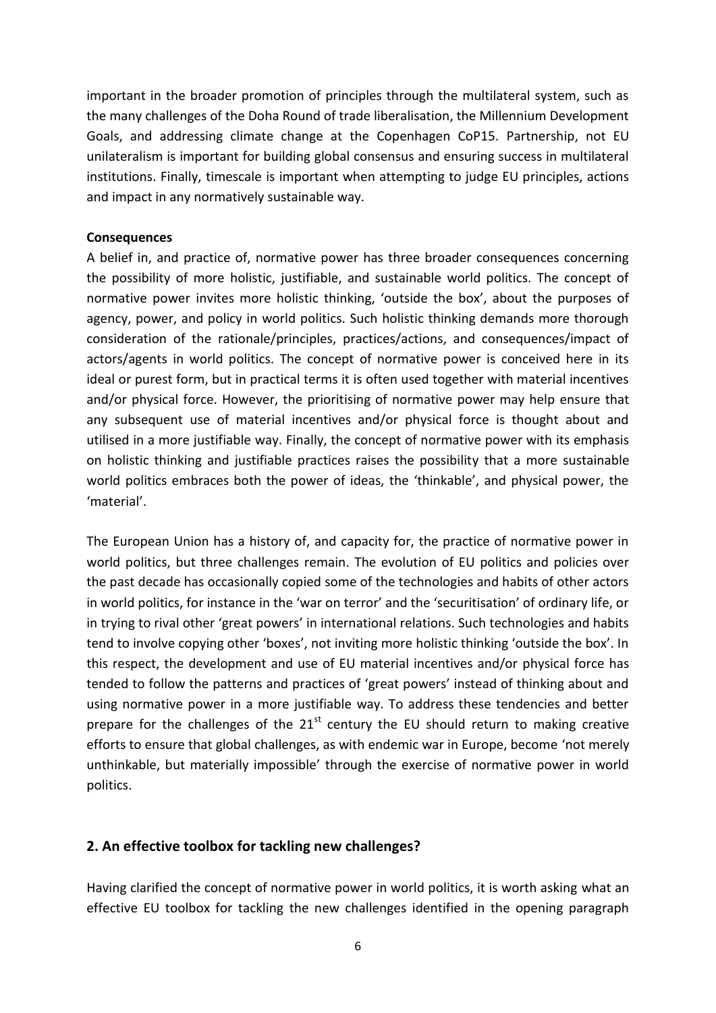important in the broader promotion of principles through the multilateral system, such as the many challenges of the Doha Round of trade liberalisation, the Millennium Development Goals, and addressing climate change at the Copenhagen CoP15. Partnership, not EU unilateralism is important for building global consensus and ensuring success in multilateral institutions. Finally, timescale is important when attempting to judge EU principles, actions and impact in any normatively sustainable way.

#### **Consequences**

A belief in, and practice of, normative power has three broader consequences concerning the possibility of more holistic, justifiable, and sustainable world politics. The concept of normative power invites more holistic thinking, 'outside the box', about the purposes of agency, power, and policy in world politics. Such holistic thinking demands more thorough consideration of the rationale/principles, practices/actions, and consequences/impact of actors/agents in world politics. The concept of normative power is conceived here in its ideal or purest form, but in practical terms it is often used together with material incentives and/or physical force. However, the prioritising of normative power may help ensure that any subsequent use of material incentives and/or physical force is thought about and utilised in a more justifiable way. Finally, the concept of normative power with its emphasis on holistic thinking and justifiable practices raises the possibility that a more sustainable world politics embraces both the power of ideas, the 'thinkable', and physical power, the 'material'.

The European Union has a history of, and capacity for, the practice of normative power in world politics, but three challenges remain. The evolution of EU politics and policies over the past decade has occasionally copied some of the technologies and habits of other actors in world politics, for instance in the 'war on terror' and the 'securitisation' of ordinary life, or in trying to rival other 'great powers' in international relations. Such technologies and habits tend to involve copying other 'boxes', not inviting more holistic thinking 'outside the box'. In this respect, the development and use of EU material incentives and/or physical force has tended to follow the patterns and practices of 'great powers' instead of thinking about and using normative power in a more justifiable way. To address these tendencies and better prepare for the challenges of the  $21<sup>st</sup>$  century the EU should return to making creative efforts to ensure that global challenges, as with endemic war in Europe, become 'not merely unthinkable, but materially impossible' through the exercise of normative power in world politics.

## **2. An effective toolbox for tackling new challenges?**

Having clarified the concept of normative power in world politics, it is worth asking what an effective EU toolbox for tackling the new challenges identified in the opening paragraph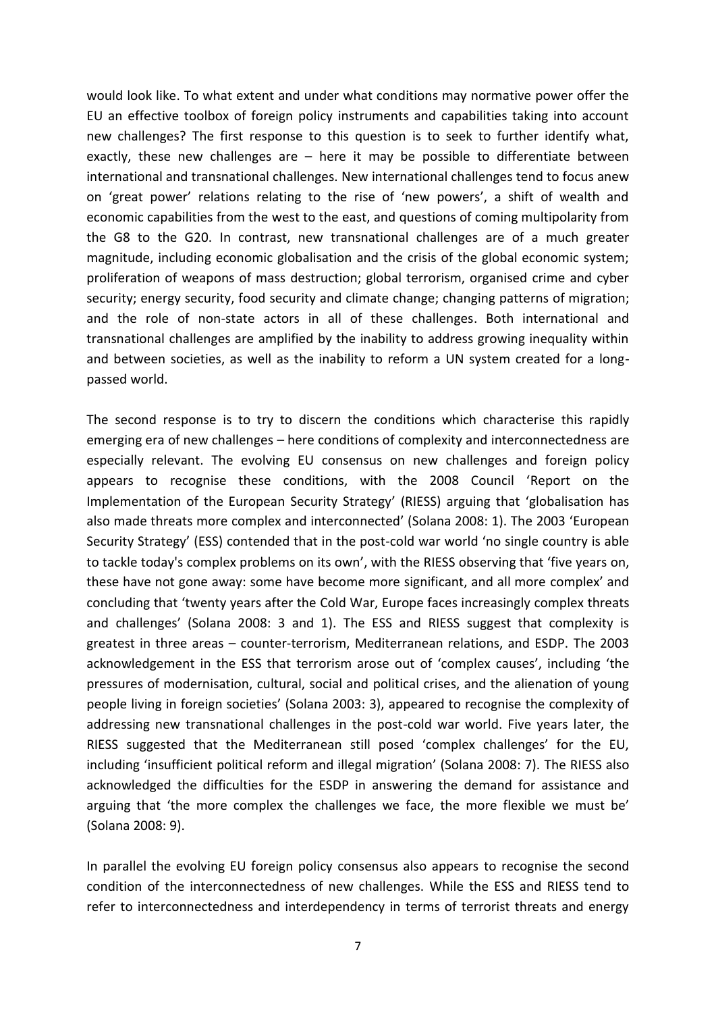would look like. To what extent and under what conditions may normative power offer the EU an effective toolbox of foreign policy instruments and capabilities taking into account new challenges? The first response to this question is to seek to further identify what, exactly, these new challenges are  $-$  here it may be possible to differentiate between international and transnational challenges. New international challenges tend to focus anew on 'great power' relations relating to the rise of 'new powers', a shift of wealth and economic capabilities from the west to the east, and questions of coming multipolarity from the G8 to the G20. In contrast, new transnational challenges are of a much greater magnitude, including economic globalisation and the crisis of the global economic system; proliferation of weapons of mass destruction; global terrorism, organised crime and cyber security; energy security, food security and climate change; changing patterns of migration; and the role of non-state actors in all of these challenges. Both international and transnational challenges are amplified by the inability to address growing inequality within and between societies, as well as the inability to reform a UN system created for a longpassed world.

The second response is to try to discern the conditions which characterise this rapidly emerging era of new challenges – here conditions of complexity and interconnectedness are especially relevant. The evolving EU consensus on new challenges and foreign policy appears to recognise these conditions, with the 2008 Council 'Report on the Implementation of the European Security Strategy' (RIESS) arguing that 'globalisation has also made threats more complex and interconnected' (Solana 2008: 1). The 2003 'European Security Strategy' (ESS) contended that in the post-cold war world 'no single country is able to tackle today's complex problems on its own', with the RIESS observing that 'five years on, these have not gone away: some have become more significant, and all more complex' and concluding that 'twenty years after the Cold War, Europe faces increasingly complex threats and challenges' (Solana 2008: 3 and 1). The ESS and RIESS suggest that complexity is greatest in three areas – counter-terrorism, Mediterranean relations, and ESDP. The 2003 acknowledgement in the ESS that terrorism arose out of 'complex causes', including 'the pressures of modernisation, cultural, social and political crises, and the alienation of young people living in foreign societies' (Solana 2003: 3), appeared to recognise the complexity of addressing new transnational challenges in the post-cold war world. Five years later, the RIESS suggested that the Mediterranean still posed 'complex challenges' for the EU, including 'insufficient political reform and illegal migration' (Solana 2008: 7). The RIESS also acknowledged the difficulties for the ESDP in answering the demand for assistance and arguing that 'the more complex the challenges we face, the more flexible we must be' (Solana 2008: 9).

In parallel the evolving EU foreign policy consensus also appears to recognise the second condition of the interconnectedness of new challenges. While the ESS and RIESS tend to refer to interconnectedness and interdependency in terms of terrorist threats and energy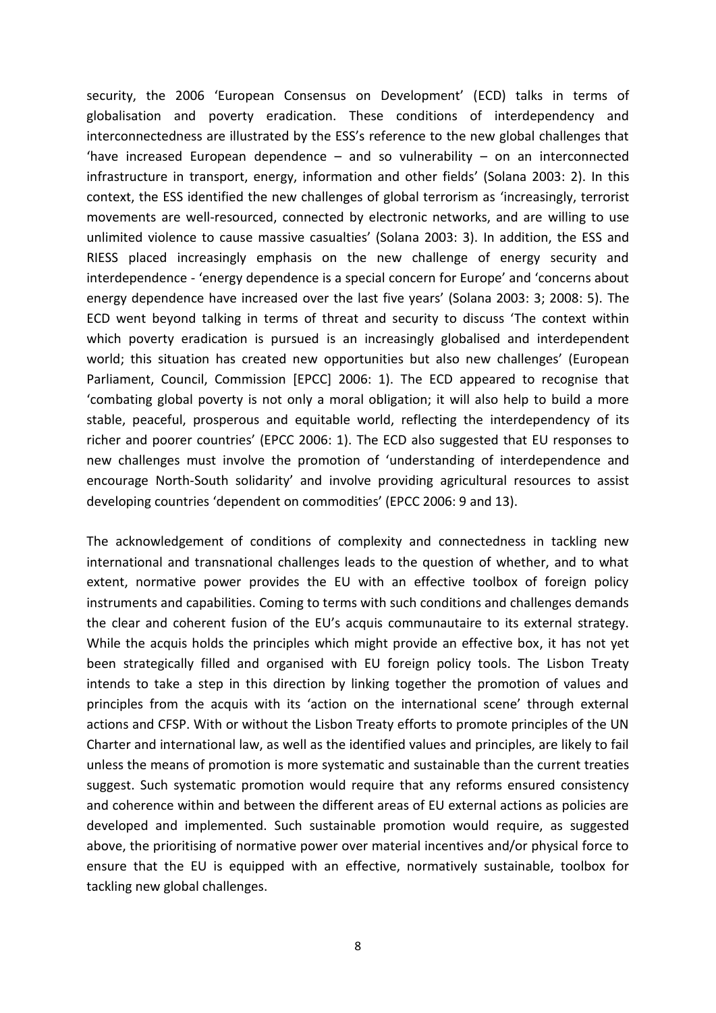security, the 2006 'European Consensus on Development' (ECD) talks in terms of globalisation and poverty eradication. These conditions of interdependency and interconnectedness are illustrated by the ESS's reference to the new global challenges that 'have increased European dependence  $-$  and so vulnerability  $-$  on an interconnected infrastructure in transport, energy, information and other fields' (Solana 2003: 2). In this context, the ESS identified the new challenges of global terrorism as 'increasingly, terrorist movements are well-resourced, connected by electronic networks, and are willing to use unlimited violence to cause massive casualties' (Solana 2003: 3). In addition, the ESS and RIESS placed increasingly emphasis on the new challenge of energy security and interdependence - 'energy dependence is a special concern for Europe' and 'concerns about energy dependence have increased over the last five years' (Solana 2003: 3; 2008: 5). The ECD went beyond talking in terms of threat and security to discuss 'The context within which poverty eradication is pursued is an increasingly globalised and interdependent world; this situation has created new opportunities but also new challenges' (European Parliament, Council, Commission [EPCC] 2006: 1). The ECD appeared to recognise that 'combating global poverty is not only a moral obligation; it will also help to build a more stable, peaceful, prosperous and equitable world, reflecting the interdependency of its richer and poorer countries' (EPCC 2006: 1). The ECD also suggested that EU responses to new challenges must involve the promotion of 'understanding of interdependence and encourage North-South solidarity' and involve providing agricultural resources to assist developing countries 'dependent on commodities' (EPCC 2006: 9 and 13).

The acknowledgement of conditions of complexity and connectedness in tackling new international and transnational challenges leads to the question of whether, and to what extent, normative power provides the EU with an effective toolbox of foreign policy instruments and capabilities. Coming to terms with such conditions and challenges demands the clear and coherent fusion of the EU's acquis communautaire to its external strategy. While the acquis holds the principles which might provide an effective box, it has not yet been strategically filled and organised with EU foreign policy tools. The Lisbon Treaty intends to take a step in this direction by linking together the promotion of values and principles from the acquis with its 'action on the international scene' through external actions and CFSP. With or without the Lisbon Treaty efforts to promote principles of the UN Charter and international law, as well as the identified values and principles, are likely to fail unless the means of promotion is more systematic and sustainable than the current treaties suggest. Such systematic promotion would require that any reforms ensured consistency and coherence within and between the different areas of EU external actions as policies are developed and implemented. Such sustainable promotion would require, as suggested above, the prioritising of normative power over material incentives and/or physical force to ensure that the EU is equipped with an effective, normatively sustainable, toolbox for tackling new global challenges.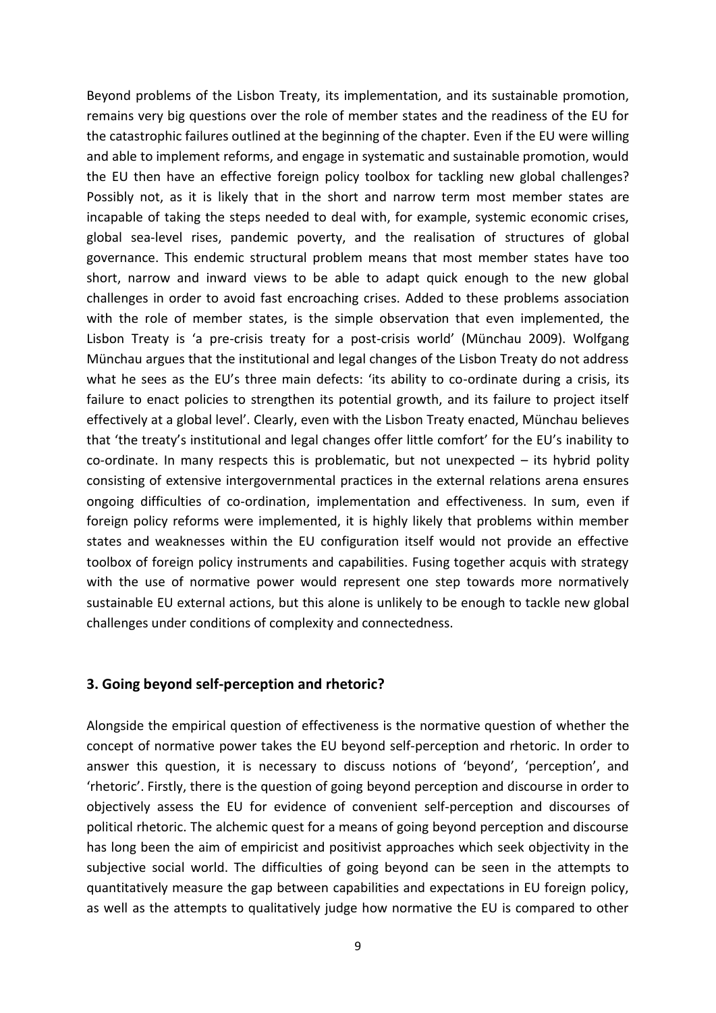Beyond problems of the Lisbon Treaty, its implementation, and its sustainable promotion, remains very big questions over the role of member states and the readiness of the EU for the catastrophic failures outlined at the beginning of the chapter. Even if the EU were willing and able to implement reforms, and engage in systematic and sustainable promotion, would the EU then have an effective foreign policy toolbox for tackling new global challenges? Possibly not, as it is likely that in the short and narrow term most member states are incapable of taking the steps needed to deal with, for example, systemic economic crises, global sea-level rises, pandemic poverty, and the realisation of structures of global governance. This endemic structural problem means that most member states have too short, narrow and inward views to be able to adapt quick enough to the new global challenges in order to avoid fast encroaching crises. Added to these problems association with the role of member states, is the simple observation that even implemented, the Lisbon Treaty is 'a pre-crisis treaty for a post-crisis world' (Münchau 2009). Wolfgang Münchau argues that the institutional and legal changes of the Lisbon Treaty do not address what he sees as the EU's three main defects: 'its ability to co-ordinate during a crisis, its failure to enact policies to strengthen its potential growth, and its failure to project itself effectively at a global level'. Clearly, even with the Lisbon Treaty enacted, Münchau believes that 'the treaty's institutional and legal changes offer little comfort' for the EU's inability to co-ordinate. In many respects this is problematic, but not unexpected – its hybrid polity consisting of extensive intergovernmental practices in the external relations arena ensures ongoing difficulties of co-ordination, implementation and effectiveness. In sum, even if foreign policy reforms were implemented, it is highly likely that problems within member states and weaknesses within the EU configuration itself would not provide an effective toolbox of foreign policy instruments and capabilities. Fusing together acquis with strategy with the use of normative power would represent one step towards more normatively sustainable EU external actions, but this alone is unlikely to be enough to tackle new global challenges under conditions of complexity and connectedness.

#### **3. Going beyond self-perception and rhetoric?**

Alongside the empirical question of effectiveness is the normative question of whether the concept of normative power takes the EU beyond self-perception and rhetoric. In order to answer this question, it is necessary to discuss notions of 'beyond', 'perception', and 'rhetoric'. Firstly, there is the question of going beyond perception and discourse in order to objectively assess the EU for evidence of convenient self-perception and discourses of political rhetoric. The alchemic quest for a means of going beyond perception and discourse has long been the aim of empiricist and positivist approaches which seek objectivity in the subjective social world. The difficulties of going beyond can be seen in the attempts to quantitatively measure the gap between capabilities and expectations in EU foreign policy, as well as the attempts to qualitatively judge how normative the EU is compared to other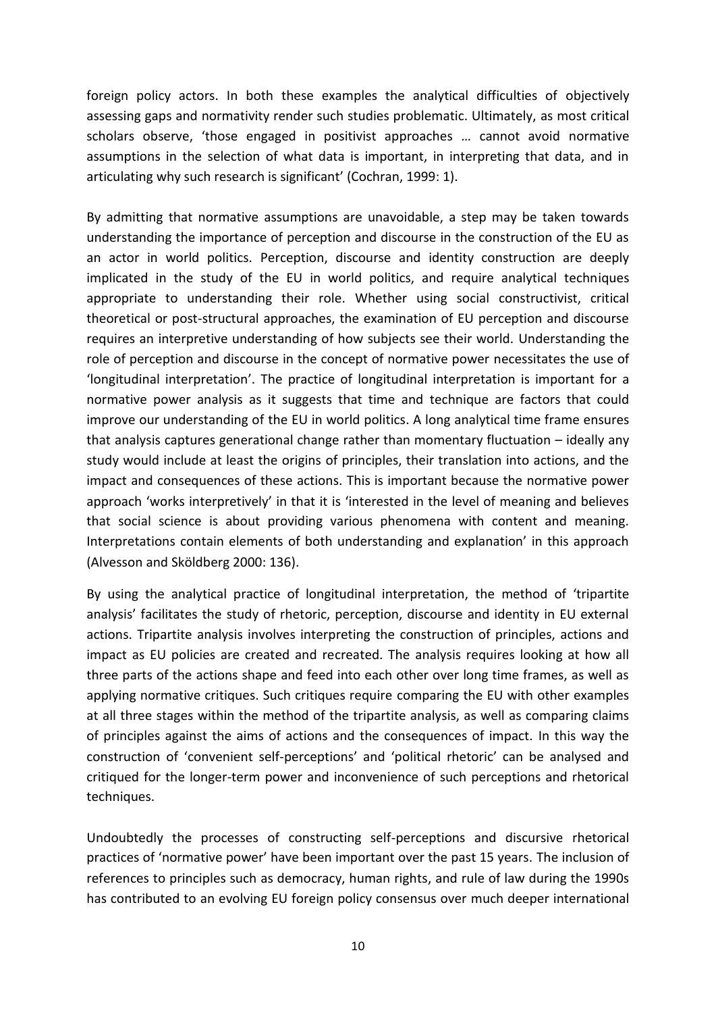foreign policy actors. In both these examples the analytical difficulties of objectively assessing gaps and normativity render such studies problematic. Ultimately, as most critical scholars observe, 'those engaged in positivist approaches … cannot avoid normative assumptions in the selection of what data is important, in interpreting that data, and in articulating why such research is significant' (Cochran, 1999: 1).

By admitting that normative assumptions are unavoidable, a step may be taken towards understanding the importance of perception and discourse in the construction of the EU as an actor in world politics. Perception, discourse and identity construction are deeply implicated in the study of the EU in world politics, and require analytical techniques appropriate to understanding their role. Whether using social constructivist, critical theoretical or post-structural approaches, the examination of EU perception and discourse requires an interpretive understanding of how subjects see their world. Understanding the role of perception and discourse in the concept of normative power necessitates the use of 'longitudinal interpretation'. The practice of longitudinal interpretation is important for a normative power analysis as it suggests that time and technique are factors that could improve our understanding of the EU in world politics. A long analytical time frame ensures that analysis captures generational change rather than momentary fluctuation – ideally any study would include at least the origins of principles, their translation into actions, and the impact and consequences of these actions. This is important because the normative power approach 'works interpretively' in that it is 'interested in the level of meaning and believes that social science is about providing various phenomena with content and meaning. Interpretations contain elements of both understanding and explanation' in this approach (Alvesson and Sköldberg 2000: 136).

By using the analytical practice of longitudinal interpretation, the method of 'tripartite analysis' facilitates the study of rhetoric, perception, discourse and identity in EU external actions. Tripartite analysis involves interpreting the construction of principles, actions and impact as EU policies are created and recreated. The analysis requires looking at how all three parts of the actions shape and feed into each other over long time frames, as well as applying normative critiques. Such critiques require comparing the EU with other examples at all three stages within the method of the tripartite analysis, as well as comparing claims of principles against the aims of actions and the consequences of impact. In this way the construction of 'convenient self-perceptions' and 'political rhetoric' can be analysed and critiqued for the longer-term power and inconvenience of such perceptions and rhetorical techniques.

Undoubtedly the processes of constructing self-perceptions and discursive rhetorical practices of 'normative power' have been important over the past 15 years. The inclusion of references to principles such as democracy, human rights, and rule of law during the 1990s has contributed to an evolving EU foreign policy consensus over much deeper international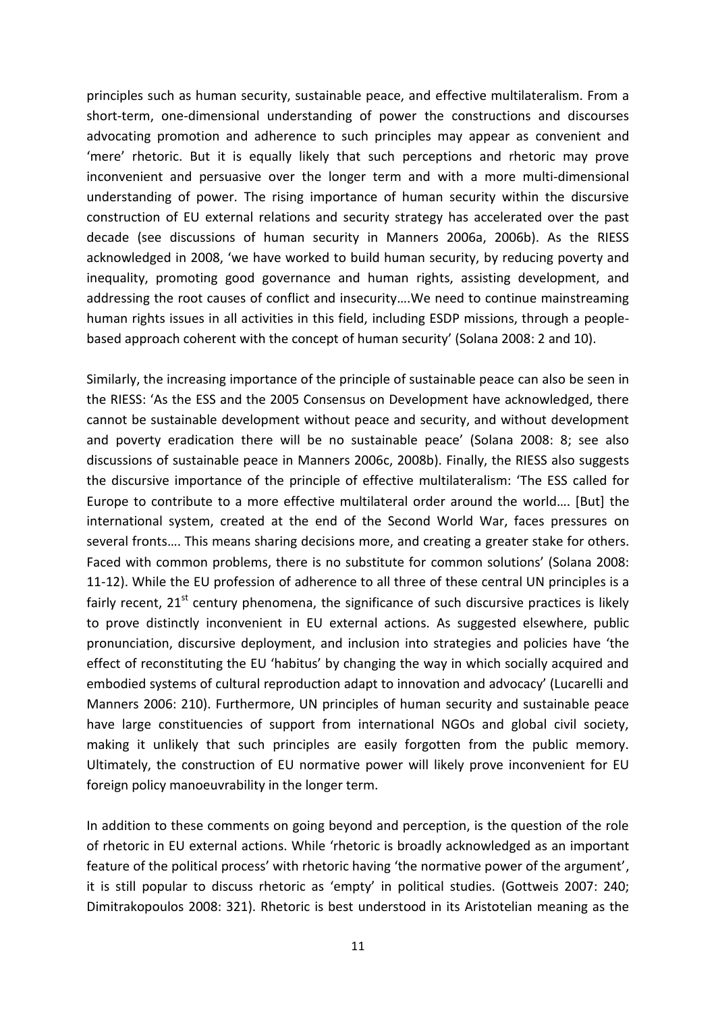principles such as human security, sustainable peace, and effective multilateralism. From a short-term, one-dimensional understanding of power the constructions and discourses advocating promotion and adherence to such principles may appear as convenient and 'mere' rhetoric. But it is equally likely that such perceptions and rhetoric may prove inconvenient and persuasive over the longer term and with a more multi-dimensional understanding of power. The rising importance of human security within the discursive construction of EU external relations and security strategy has accelerated over the past decade (see discussions of human security in Manners 2006a, 2006b). As the RIESS acknowledged in 2008, 'we have worked to build human security, by reducing poverty and inequality, promoting good governance and human rights, assisting development, and addressing the root causes of conflict and insecurity….We need to continue mainstreaming human rights issues in all activities in this field, including ESDP missions, through a peoplebased approach coherent with the concept of human security' (Solana 2008: 2 and 10).

Similarly, the increasing importance of the principle of sustainable peace can also be seen in the RIESS: 'As the ESS and the 2005 Consensus on Development have acknowledged, there cannot be sustainable development without peace and security, and without development and poverty eradication there will be no sustainable peace' (Solana 2008: 8; see also discussions of sustainable peace in Manners 2006c, 2008b). Finally, the RIESS also suggests the discursive importance of the principle of effective multilateralism: 'The ESS called for Europe to contribute to a more effective multilateral order around the world.... [But] the international system, created at the end of the Second World War, faces pressures on several fronts…. This means sharing decisions more, and creating a greater stake for others. Faced with common problems, there is no substitute for common solutions' (Solana 2008: 11-12). While the EU profession of adherence to all three of these central UN principles is a fairly recent,  $21^{st}$  century phenomena, the significance of such discursive practices is likely to prove distinctly inconvenient in EU external actions. As suggested elsewhere, public pronunciation, discursive deployment, and inclusion into strategies and policies have 'the effect of reconstituting the EU 'habitus' by changing the way in which socially acquired and embodied systems of cultural reproduction adapt to innovation and advocacy' (Lucarelli and Manners 2006: 210). Furthermore, UN principles of human security and sustainable peace have large constituencies of support from international NGOs and global civil society, making it unlikely that such principles are easily forgotten from the public memory. Ultimately, the construction of EU normative power will likely prove inconvenient for EU foreign policy manoeuvrability in the longer term.

In addition to these comments on going beyond and perception, is the question of the role of rhetoric in EU external actions. While 'rhetoric is broadly acknowledged as an important feature of the political process' with rhetoric having 'the normative power of the argument', it is still popular to discuss rhetoric as 'empty' in political studies. (Gottweis 2007: 240; Dimitrakopoulos 2008: 321). Rhetoric is best understood in its Aristotelian meaning as the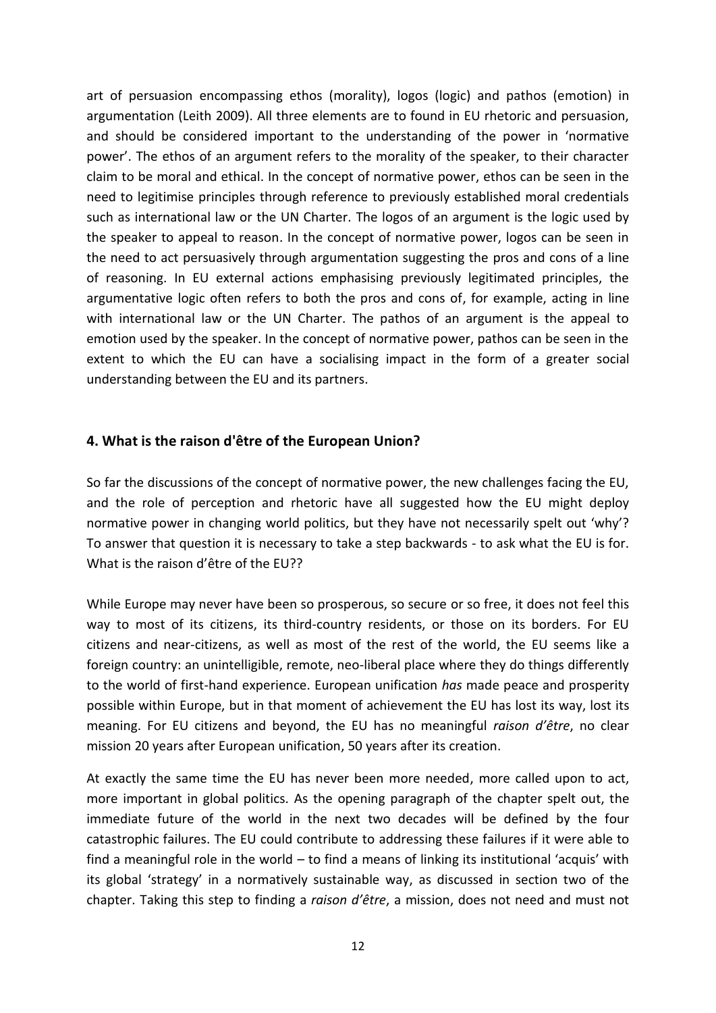art of persuasion encompassing ethos (morality), logos (logic) and pathos (emotion) in argumentation (Leith 2009). All three elements are to found in EU rhetoric and persuasion, and should be considered important to the understanding of the power in 'normative power'. The ethos of an argument refers to the morality of the speaker, to their character claim to be moral and ethical. In the concept of normative power, ethos can be seen in the need to legitimise principles through reference to previously established moral credentials such as international law or the UN Charter. The logos of an argument is the logic used by the speaker to appeal to reason. In the concept of normative power, logos can be seen in the need to act persuasively through argumentation suggesting the pros and cons of a line of reasoning. In EU external actions emphasising previously legitimated principles, the argumentative logic often refers to both the pros and cons of, for example, acting in line with international law or the UN Charter. The pathos of an argument is the appeal to emotion used by the speaker. In the concept of normative power, pathos can be seen in the extent to which the EU can have a socialising impact in the form of a greater social understanding between the EU and its partners.

# **4. What is the raison d'être of the European Union?**

So far the discussions of the concept of normative power, the new challenges facing the EU, and the role of perception and rhetoric have all suggested how the EU might deploy normative power in changing world politics, but they have not necessarily spelt out 'why'? To answer that question it is necessary to take a step backwards - to ask what the EU is for. What is the raison d'être of the EU??

While Europe may never have been so prosperous, so secure or so free, it does not feel this way to most of its citizens, its third-country residents, or those on its borders. For EU citizens and near-citizens, as well as most of the rest of the world, the EU seems like a foreign country: an unintelligible, remote, neo-liberal place where they do things differently to the world of first-hand experience. European unification *has* made peace and prosperity possible within Europe, but in that moment of achievement the EU has lost its way, lost its meaning. For EU citizens and beyond, the EU has no meaningful *raison d'être*, no clear mission 20 years after European unification, 50 years after its creation.

At exactly the same time the EU has never been more needed, more called upon to act, more important in global politics. As the opening paragraph of the chapter spelt out, the immediate future of the world in the next two decades will be defined by the four catastrophic failures. The EU could contribute to addressing these failures if it were able to find a meaningful role in the world – to find a means of linking its institutional 'acquis' with its global 'strategy' in a normatively sustainable way, as discussed in section two of the chapter. Taking this step to finding a *raison d'être*, a mission, does not need and must not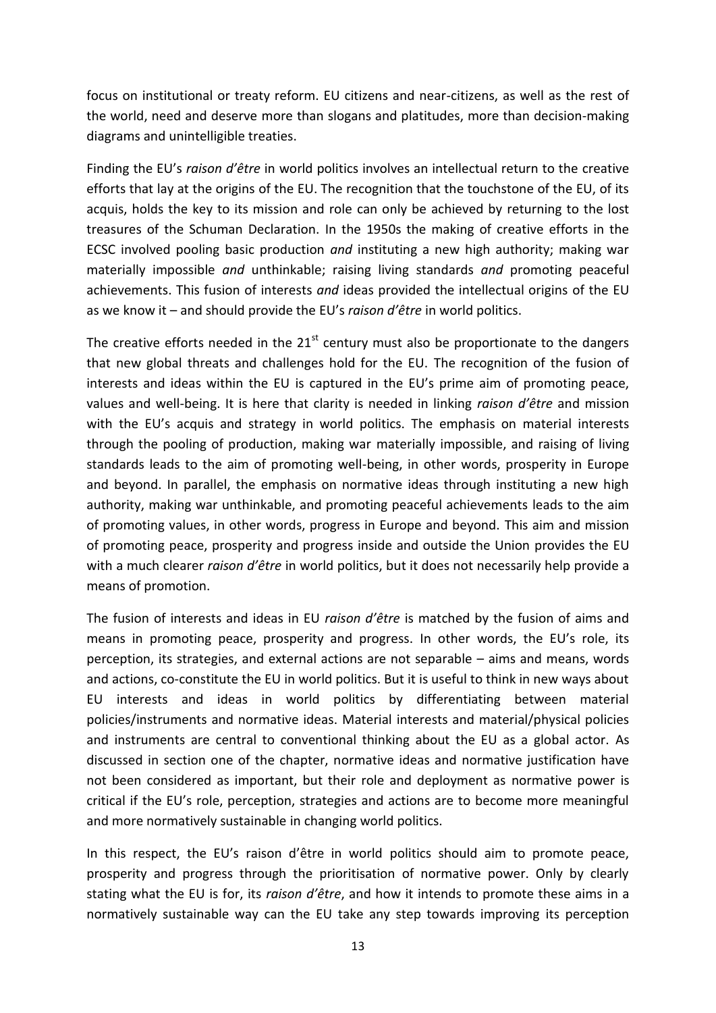focus on institutional or treaty reform. EU citizens and near-citizens, as well as the rest of the world, need and deserve more than slogans and platitudes, more than decision-making diagrams and unintelligible treaties.

Finding the EU's *raison d'être* in world politics involves an intellectual return to the creative efforts that lay at the origins of the EU. The recognition that the touchstone of the EU, of its acquis, holds the key to its mission and role can only be achieved by returning to the lost treasures of the Schuman Declaration. In the 1950s the making of creative efforts in the ECSC involved pooling basic production *and* instituting a new high authority; making war materially impossible *and* unthinkable; raising living standards *and* promoting peaceful achievements. This fusion of interests *and* ideas provided the intellectual origins of the EU as we know it – and should provide the EU's *raison d'être* in world politics.

The creative efforts needed in the  $21<sup>st</sup>$  century must also be proportionate to the dangers that new global threats and challenges hold for the EU. The recognition of the fusion of interests and ideas within the EU is captured in the EU's prime aim of promoting peace, values and well-being. It is here that clarity is needed in linking *raison d'être* and mission with the EU's acquis and strategy in world politics. The emphasis on material interests through the pooling of production, making war materially impossible, and raising of living standards leads to the aim of promoting well-being, in other words, prosperity in Europe and beyond. In parallel, the emphasis on normative ideas through instituting a new high authority, making war unthinkable, and promoting peaceful achievements leads to the aim of promoting values, in other words, progress in Europe and beyond. This aim and mission of promoting peace, prosperity and progress inside and outside the Union provides the EU with a much clearer *raison d'être* in world politics, but it does not necessarily help provide a means of promotion.

The fusion of interests and ideas in EU *raison d'être* is matched by the fusion of aims and means in promoting peace, prosperity and progress. In other words, the EU's role, its perception, its strategies, and external actions are not separable – aims and means, words and actions, co-constitute the EU in world politics. But it is useful to think in new ways about EU interests and ideas in world politics by differentiating between material policies/instruments and normative ideas. Material interests and material/physical policies and instruments are central to conventional thinking about the EU as a global actor. As discussed in section one of the chapter, normative ideas and normative justification have not been considered as important, but their role and deployment as normative power is critical if the EU's role, perception, strategies and actions are to become more meaningful and more normatively sustainable in changing world politics.

In this respect, the EU's raison d'être in world politics should aim to promote peace, prosperity and progress through the prioritisation of normative power. Only by clearly stating what the EU is for, its *raison d'être*, and how it intends to promote these aims in a normatively sustainable way can the EU take any step towards improving its perception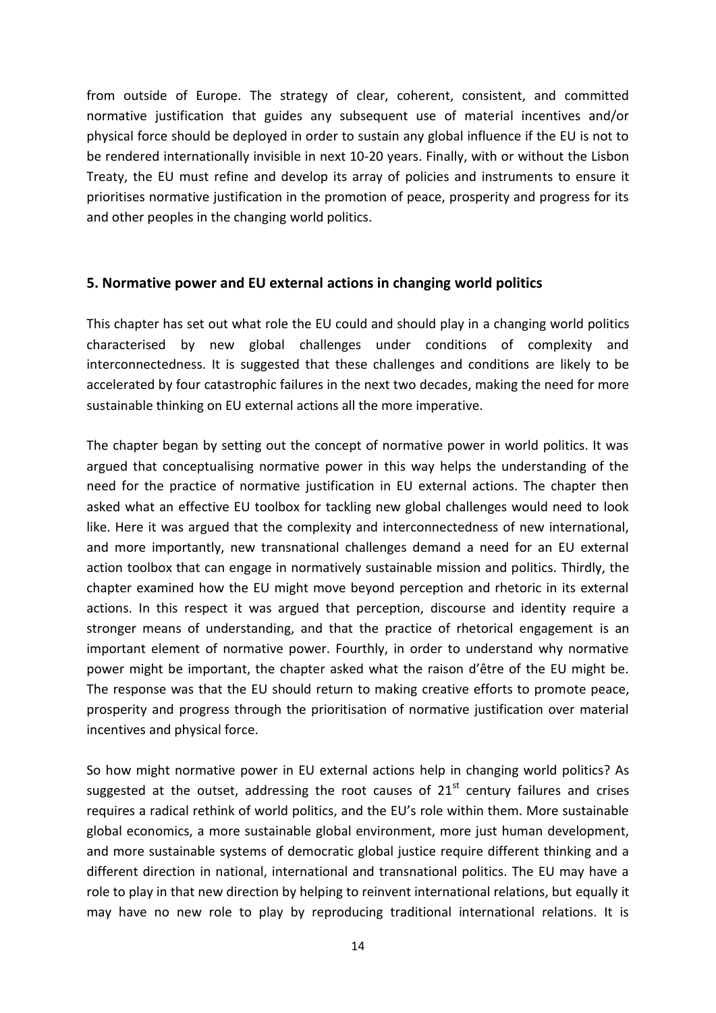from outside of Europe. The strategy of clear, coherent, consistent, and committed normative justification that guides any subsequent use of material incentives and/or physical force should be deployed in order to sustain any global influence if the EU is not to be rendered internationally invisible in next 10-20 years. Finally, with or without the Lisbon Treaty, the EU must refine and develop its array of policies and instruments to ensure it prioritises normative justification in the promotion of peace, prosperity and progress for its and other peoples in the changing world politics.

# **5. Normative power and EU external actions in changing world politics**

This chapter has set out what role the EU could and should play in a changing world politics characterised by new global challenges under conditions of complexity and interconnectedness. It is suggested that these challenges and conditions are likely to be accelerated by four catastrophic failures in the next two decades, making the need for more sustainable thinking on EU external actions all the more imperative.

The chapter began by setting out the concept of normative power in world politics. It was argued that conceptualising normative power in this way helps the understanding of the need for the practice of normative justification in EU external actions. The chapter then asked what an effective EU toolbox for tackling new global challenges would need to look like. Here it was argued that the complexity and interconnectedness of new international, and more importantly, new transnational challenges demand a need for an EU external action toolbox that can engage in normatively sustainable mission and politics. Thirdly, the chapter examined how the EU might move beyond perception and rhetoric in its external actions. In this respect it was argued that perception, discourse and identity require a stronger means of understanding, and that the practice of rhetorical engagement is an important element of normative power. Fourthly, in order to understand why normative power might be important, the chapter asked what the raison d'être of the EU might be. The response was that the EU should return to making creative efforts to promote peace, prosperity and progress through the prioritisation of normative justification over material incentives and physical force.

So how might normative power in EU external actions help in changing world politics? As suggested at the outset, addressing the root causes of  $21<sup>st</sup>$  century failures and crises requires a radical rethink of world politics, and the EU's role within them. More sustainable global economics, a more sustainable global environment, more just human development, and more sustainable systems of democratic global justice require different thinking and a different direction in national, international and transnational politics. The EU may have a role to play in that new direction by helping to reinvent international relations, but equally it may have no new role to play by reproducing traditional international relations. It is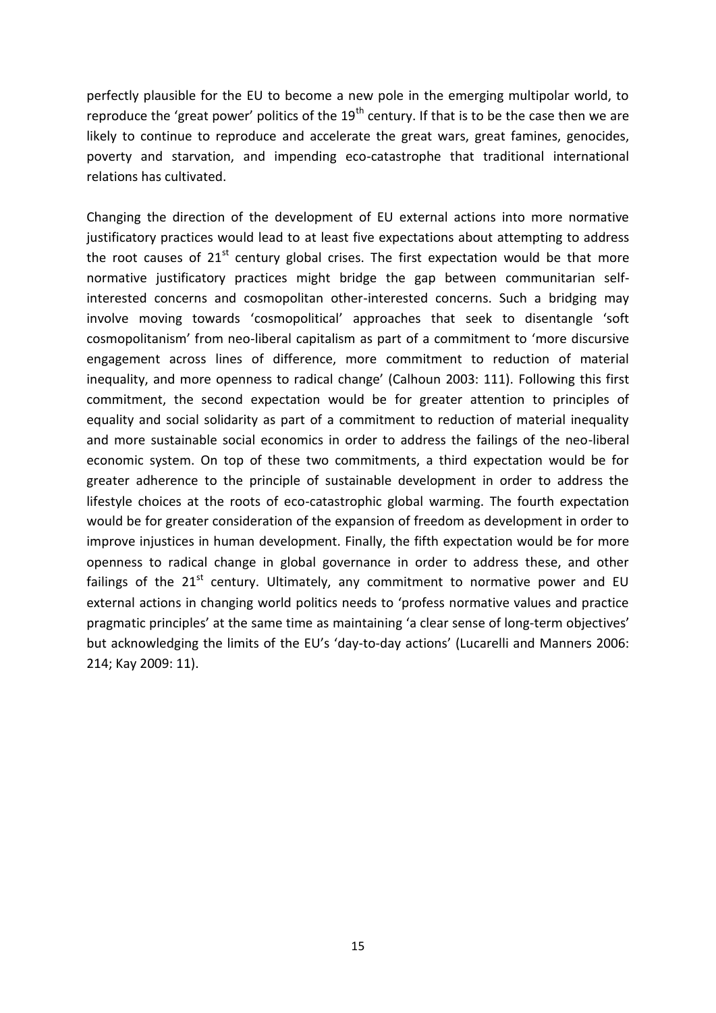perfectly plausible for the EU to become a new pole in the emerging multipolar world, to reproduce the 'great power' politics of the  $19<sup>th</sup>$  century. If that is to be the case then we are likely to continue to reproduce and accelerate the great wars, great famines, genocides, poverty and starvation, and impending eco-catastrophe that traditional international relations has cultivated.

Changing the direction of the development of EU external actions into more normative justificatory practices would lead to at least five expectations about attempting to address the root causes of  $21<sup>st</sup>$  century global crises. The first expectation would be that more normative justificatory practices might bridge the gap between communitarian selfinterested concerns and cosmopolitan other-interested concerns. Such a bridging may involve moving towards 'cosmopolitical' approaches that seek to disentangle 'soft cosmopolitanism' from neo-liberal capitalism as part of a commitment to 'more discursive engagement across lines of difference, more commitment to reduction of material inequality, and more openness to radical change' (Calhoun 2003: 111). Following this first commitment, the second expectation would be for greater attention to principles of equality and social solidarity as part of a commitment to reduction of material inequality and more sustainable social economics in order to address the failings of the neo-liberal economic system. On top of these two commitments, a third expectation would be for greater adherence to the principle of sustainable development in order to address the lifestyle choices at the roots of eco-catastrophic global warming. The fourth expectation would be for greater consideration of the expansion of freedom as development in order to improve injustices in human development. Finally, the fifth expectation would be for more openness to radical change in global governance in order to address these, and other failings of the  $21^{st}$  century. Ultimately, any commitment to normative power and EU external actions in changing world politics needs to 'profess normative values and practice pragmatic principles' at the same time as maintaining 'a clear sense of long-term objectives' but acknowledging the limits of the EU's 'day-to-day actions' (Lucarelli and Manners 2006: 214; Kay 2009: 11).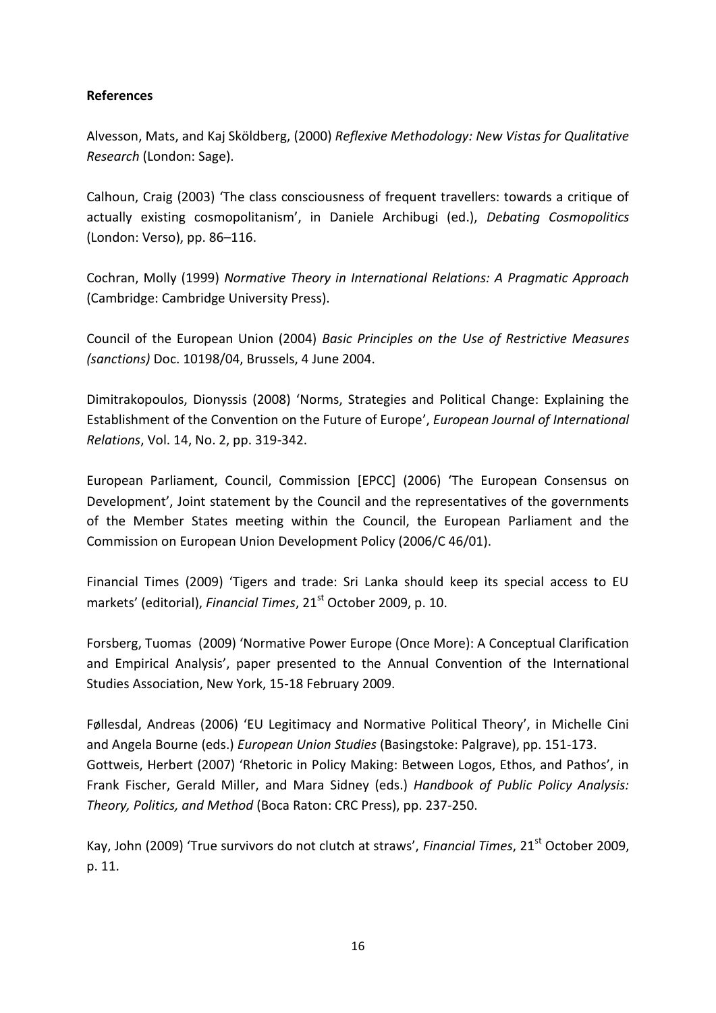# **References**

Alvesson, Mats, and Kaj Sköldberg, (2000) *Reflexive Methodology: New Vistas for Qualitative Research* (London: Sage).

Calhoun, Craig (2003) 'The class consciousness of frequent travellers: towards a critique of actually existing cosmopolitanism', in Daniele Archibugi (ed.), *Debating Cosmopolitics* (London: Verso), pp. 86–116.

Cochran, Molly (1999) *Normative Theory in International Relations: A Pragmatic Approach* (Cambridge: Cambridge University Press).

Council of the European Union (2004) *Basic Principles on the Use of Restrictive Measures (sanctions)* Doc. 10198/04, Brussels, 4 June 2004.

Dimitrakopoulos, Dionyssis (2008) 'Norms, Strategies and Political Change: Explaining the Establishment of the Convention on the Future of Europe', *European Journal of International Relations*, Vol. 14, No. 2, pp. 319-342.

European Parliament, Council, Commission [EPCC] (2006) 'The European Consensus on Development', Joint statement by the Council and the representatives of the governments of the Member States meeting within the Council, the European Parliament and the Commission on European Union Development Policy (2006/C 46/01).

Financial Times (2009) 'Tigers and trade: Sri Lanka should keep its special access to EU markets' (editorial), *Financial Times*, 21<sup>st</sup> October 2009, p. 10.

Forsberg, Tuomas (2009) 'Normative Power Europe (Once More): A Conceptual Clarification and Empirical Analysis', paper presented to the Annual Convention of the International Studies Association, New York, 15-18 February 2009.

Føllesdal, Andreas (2006) 'EU Legitimacy and Normative Political Theory', in Michelle Cini and Angela Bourne (eds.) *European Union Studies* (Basingstoke: Palgrave), pp. 151-173. Gottweis, Herbert (2007) 'Rhetoric in Policy Making: Between Logos, Ethos, and Pathos', in Frank Fischer, Gerald Miller, and Mara Sidney (eds.) *Handbook of Public Policy Analysis: Theory, Politics, and Method* (Boca Raton: CRC Press), pp. 237-250.

Kay, John (2009) 'True survivors do not clutch at straws', *Financial Times*, 21<sup>st</sup> October 2009, p. 11.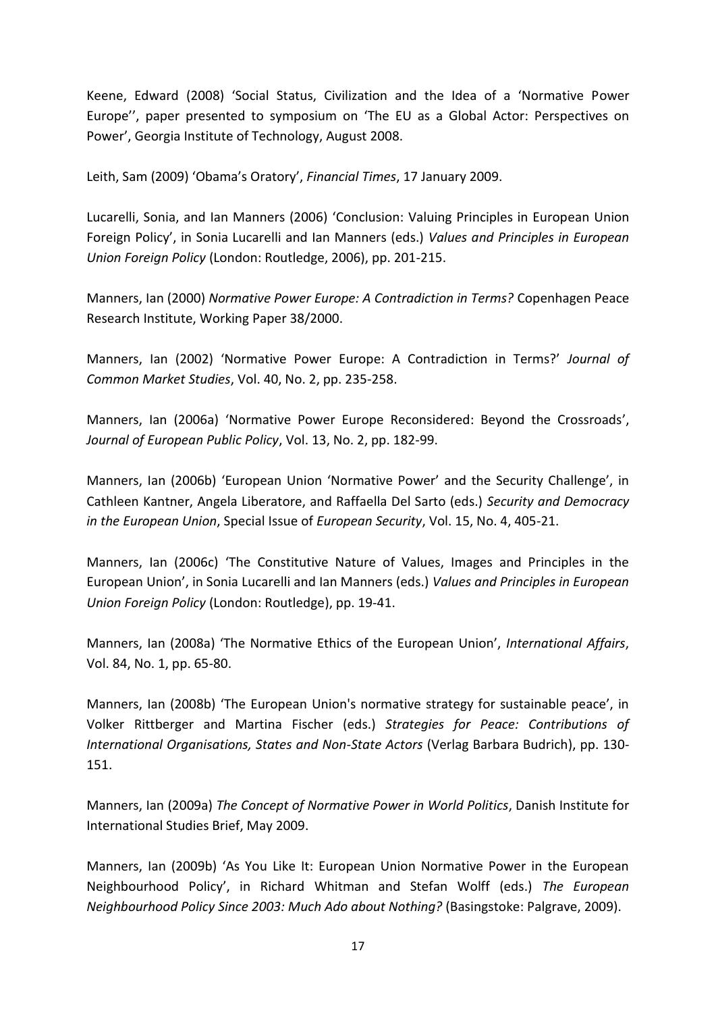Keene, Edward (2008) 'Social Status, Civilization and the Idea of a 'Normative Power Europe'', paper presented to symposium on 'The EU as a Global Actor: Perspectives on Power', Georgia Institute of Technology, August 2008.

Leith, Sam (2009) 'Obama's Oratory', *Financial Times*, 17 January 2009.

Lucarelli, Sonia, and Ian Manners (2006) 'Conclusion: Valuing Principles in European Union Foreign Policy', in Sonia Lucarelli and Ian Manners (eds.) *Values and Principles in European Union Foreign Policy* (London: Routledge, 2006), pp. 201-215.

Manners, Ian (2000) *Normative Power Europe: A Contradiction in Terms?* Copenhagen Peace Research Institute, Working Paper 38/2000.

Manners, Ian (2002) 'Normative Power Europe: A Contradiction in Terms?' *Journal of Common Market Studies*, Vol. 40, No. 2, pp. 235-258.

Manners, Ian (2006a) 'Normative Power Europe Reconsidered: Beyond the Crossroads', *Journal of European Public Policy*, Vol. 13, No. 2, pp. 182-99.

Manners, Ian (2006b) 'European Union 'Normative Power' and the Security Challenge', in Cathleen Kantner, Angela Liberatore, and Raffaella Del Sarto (eds.) *Security and Democracy in the European Union*, Special Issue of *European Security*, Vol. 15, No. 4, 405-21.

Manners, Ian (2006c) 'The Constitutive Nature of Values, Images and Principles in the European Union', in Sonia Lucarelli and Ian Manners (eds.) *Values and Principles in European Union Foreign Policy* (London: Routledge), pp. 19-41.

Manners, Ian (2008a) 'The Normative Ethics of the European Union', *International Affairs*, Vol. 84, No. 1, pp. 65-80.

Manners, Ian (2008b) 'The European Union's normative strategy for sustainable peace', in Volker Rittberger and Martina Fischer (eds.) *Strategies for Peace: Contributions of International Organisations, States and Non-State Actors* (Verlag Barbara Budrich), pp. 130- 151.

Manners, Ian (2009a) *The Concept of Normative Power in World Politics*, Danish Institute for International Studies Brief, May 2009.

Manners, Ian (2009b) 'As You Like It: European Union Normative Power in the European Neighbourhood Policy', in Richard Whitman and Stefan Wolff (eds.) *The European Neighbourhood Policy Since 2003: Much Ado about Nothing?* (Basingstoke: Palgrave, 2009).